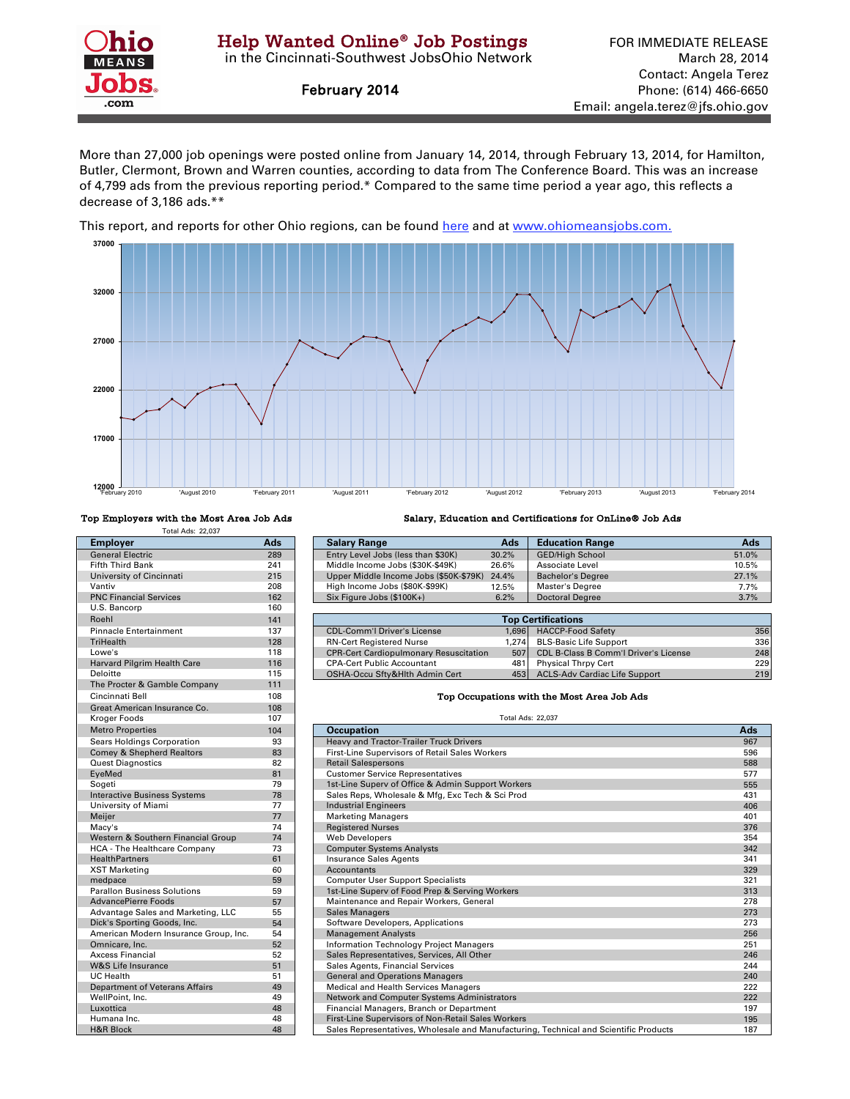

February 2014

More than 27,000 job openings were posted online from January 14, 2014, through February 13, 2014, for Hamilton, Butler, Clermont, Brown and Warren counties, according to data from The Conference Board. This was an increase of 4,799 ads from the previous reporting period.\* Compared to the same time period a year ago, this reflects a decrease of 3,186 ads.\*\*

[This report, and reports for other Ohio regions, can be found here and at w](http://ohiolmi.com/asp/omj/hw.htm)ww.ohiomeansjobs.com.



| <b>Total Ads: 22.037</b>               |                 |                                                        |                          |                  |
|----------------------------------------|-----------------|--------------------------------------------------------|--------------------------|------------------|
| <b>Employer</b>                        | Ads             | <b>Salary Range</b><br>Ads                             |                          | Educ             |
| <b>General Electric</b>                | 289             | Entry Level Jobs (less than \$30K)<br>30.2%            |                          | GED/             |
| <b>Fifth Third Bank</b>                | 241             | Middle Income Jobs (\$30K-\$49K)<br>26.6%              |                          | Asso             |
| University of Cincinnati               | 215             | Upper Middle Income Jobs (\$50K-\$79K)<br>24.4%        |                          | <b>Bach</b>      |
| Vantiv                                 | 208             | High Income Jobs (\$80K-\$99K)<br>12.5%                |                          | Mast             |
| <b>PNC Financial Services</b>          | 162             | Six Figure Jobs (\$100K+)<br>6.2%                      |                          | Docto            |
| U.S. Bancorp                           | 160             |                                                        |                          |                  |
| Roehl                                  | 141             |                                                        | <b>Top Certifica</b>     |                  |
| <b>Pinnacle Entertainment</b>          | 137             | <b>CDL-Comm'l Driver's License</b>                     | 1,696                    | <b>HACO</b>      |
| <b>TriHealth</b>                       | 128             | <b>RN-Cert Registered Nurse</b>                        | 1,274                    | <b>BLS-B</b>     |
| Lowe's                                 | 118             | <b>CPR-Cert Cardiopulmonary Resuscitation</b>          | 507                      | CDL <sub>E</sub> |
| Harvard Pilgrim Health Care            | 116             | <b>CPA-Cert Public Accountant</b>                      | 481                      | Physi            |
| Deloitte                               | 115             | OSHA-Occu Sfty&Hlth Admin Cert                         | 453                      | <b>ACLS</b>      |
| The Procter & Gamble Company           | 111             |                                                        |                          |                  |
| Cincinnati Bell                        | 108             | Top Occupations with the                               |                          |                  |
| Great American Insurance Co.           | 108             |                                                        |                          |                  |
| Kroger Foods                           | 107             |                                                        | <b>Total Ads: 22.037</b> |                  |
| <b>Metro Properties</b>                | 104             | <b>Occupation</b>                                      |                          |                  |
| Sears Holdings Corporation             | 93              | Heavy and Tractor-Trailer Truck Drivers                |                          |                  |
| <b>Comey &amp; Shepherd Realtors</b>   | 83              | <b>First-Line Supervisors of Retail Sales Workers</b>  |                          |                  |
| <b>Quest Diagnostics</b>               | 82              | <b>Retail Salespersons</b>                             |                          |                  |
| EyeMed                                 | 81              | <b>Customer Service Representatives</b>                |                          |                  |
| Sogeti                                 | 79              | 1st-Line Superv of Office & Admin Support Workers      |                          |                  |
| <b>Interactive Business Systems</b>    | 78              | Sales Reps, Wholesale & Mfg, Exc Tech & Sci Prod       |                          |                  |
| University of Miami                    | 77              | <b>Industrial Engineers</b>                            |                          |                  |
| Meijer                                 | 77              | <b>Marketing Managers</b>                              |                          |                  |
| Macy's                                 | 74              | <b>Registered Nurses</b>                               |                          |                  |
| Western & Southern Financial Group     | 74              | <b>Web Developers</b>                                  |                          |                  |
| HCA - The Healthcare Company           | 73              | <b>Computer Systems Analysts</b>                       |                          |                  |
| <b>HealthPartners</b>                  | 61              | <b>Insurance Sales Agents</b>                          |                          |                  |
| <b>XST Marketing</b>                   | 60              | Accountants                                            |                          |                  |
| medpace                                | 59              | <b>Computer User Support Specialists</b>               |                          |                  |
| <b>Parallon Business Solutions</b>     | 59              | 1st-Line Superv of Food Prep & Serving Workers         |                          |                  |
| <b>AdvancePierre Foods</b>             | 57              | Maintenance and Repair Workers, General                |                          |                  |
| Advantage Sales and Marketing, LLC     | 55              | <b>Sales Managers</b>                                  |                          |                  |
| Dick's Sporting Goods, Inc.            | 54              | Software Developers, Applications                      |                          |                  |
| American Modern Insurance Group, Inc.  | 54              | <b>Management Analysts</b>                             |                          |                  |
| Omnicare, Inc.                         | 52              | Information Technology Project Managers                |                          |                  |
| Axcess Financial                       | 52              | Sales Representatives, Services, All Other             |                          |                  |
| <b>W&amp;S Life Insurance</b>          | 51              | Sales Agents, Financial Services                       |                          |                  |
| <b>UC Health</b>                       | 51              | <b>General and Operations Managers</b>                 |                          |                  |
| <b>Department of Veterans Affairs</b>  | 49              | Medical and Health Services Managers                   |                          |                  |
| WellPoint, Inc.                        | 49              | Network and Computer Systems Administrators            |                          |                  |
| Luxottica                              | 48              | Financial Managers, Branch or Department               |                          |                  |
| Humana Inc.                            | 48              | First-Line Supervisors of Non-Retail Sales Workers     |                          |                  |
| $H9.5$ $D1$ <sub>oo</sub> <sub>k</sub> | $\overline{10}$ | Color Pensecontatives, Wholesels and Menufacturing Too |                          |                  |

Top Employers with the Most Area Job Ads Salary, Education and Certifications for OnLine® Job Ads

| <b>Employer</b>               | Ads | <b>Salary Range</b>                    | Ads   | <b>Education Range</b>   | Ads   |
|-------------------------------|-----|----------------------------------------|-------|--------------------------|-------|
| <b>General Electric</b>       | 289 | Entry Level Jobs (less than \$30K)     | 30.2% | <b>GED/High School</b>   | 51.0% |
| Fifth Third Bank              | 241 | Middle Income Jobs (\$30K-\$49K)       | 26.6% | Associate Level          | 10.5% |
| University of Cincinnati      | 215 | Upper Middle Income Jobs (\$50K-\$79K) | 24.4% | <b>Bachelor's Degree</b> | 27.1% |
| Vantiv                        | 208 | High Income Jobs (\$80K-\$99K)         | 12.5% | Master's Degree          | 7.7%  |
| <b>PNC Financial Services</b> | 162 | Six Figure Jobs (\$100K+)              | 6.2%  | <b>Doctoral Degree</b>   | 3.7%  |
| U.S. Bancorp                  | 160 |                                        |       |                          |       |

| Roehl                         | 141 | <b>Top Certifications</b>                     |       |                                           |     |
|-------------------------------|-----|-----------------------------------------------|-------|-------------------------------------------|-----|
| <b>Pinnacle Entertainment</b> | 137 | CDL-Comm'l Driver's License                   | 1.696 | <b>HACCP-Food Safety</b>                  | 356 |
| <b>TriHealth</b>              | 128 | <b>RN-Cert Registered Nurse</b>               | 1.274 | <b>BLS-Basic Life Support</b>             | 336 |
| Lowe's                        | 118 | <b>CPR-Cert Cardiopulmonary Resuscitation</b> |       | 507 CDL B-Class B Comm'l Driver's License | 248 |
| Harvard Pilgrim Health Care   | 116 | <b>CPA-Cert Public Accountant</b>             | 4811  | <b>Physical Thrpy Cert</b>                | 229 |
| Deloitte                      | 115 | OSHA-Occu Sftv&Hlth Admin Cert                |       | 453 ACLS-Adv Cardiac Life Support         | 219 |

## **Top Occupations with the Most Area Job Ads**

| <b>Metro Properties</b>               | 104 | <b>Occupation</b>                                                                     | Ads |
|---------------------------------------|-----|---------------------------------------------------------------------------------------|-----|
| Sears Holdings Corporation            | 93  | Heavy and Tractor-Trailer Truck Drivers                                               | 967 |
| Comey & Shepherd Realtors             | 83  | First-Line Supervisors of Retail Sales Workers                                        | 596 |
| <b>Quest Diagnostics</b>              | 82  | <b>Retail Salespersons</b>                                                            | 588 |
| EyeMed                                | 81  | <b>Customer Service Representatives</b>                                               | 577 |
| Sogeti                                | 79  | 1st-Line Superv of Office & Admin Support Workers                                     | 555 |
| <b>Interactive Business Systems</b>   | 78  | Sales Reps, Wholesale & Mfg, Exc Tech & Sci Prod                                      | 431 |
| University of Miami                   | 77  | <b>Industrial Engineers</b>                                                           | 406 |
| Meijer                                | 77  | <b>Marketing Managers</b>                                                             | 401 |
| Macy's                                | 74  | <b>Registered Nurses</b>                                                              | 376 |
| Western & Southern Financial Group    | 74  | <b>Web Developers</b>                                                                 | 354 |
| <b>HCA - The Healthcare Company</b>   | 73  | <b>Computer Systems Analysts</b>                                                      | 342 |
| <b>HealthPartners</b>                 | 61  | <b>Insurance Sales Agents</b>                                                         | 341 |
| <b>XST Marketing</b>                  | 60  | Accountants                                                                           | 329 |
| medpace                               | 59  | <b>Computer User Support Specialists</b>                                              | 321 |
| <b>Parallon Business Solutions</b>    | 59  | 1st-Line Superv of Food Prep & Serving Workers                                        | 313 |
| AdvancePierre Foods                   | 57  | Maintenance and Repair Workers, General                                               | 278 |
| Advantage Sales and Marketing, LLC    | 55  | <b>Sales Managers</b>                                                                 | 273 |
| Dick's Sporting Goods, Inc.           | 54  | Software Developers, Applications                                                     | 273 |
| American Modern Insurance Group, Inc. | 54  | <b>Management Analysts</b>                                                            | 256 |
| Omnicare, Inc.                        | 52  | Information Technology Project Managers                                               | 251 |
| Axcess Financial                      | 52  | Sales Representatives, Services, All Other                                            | 246 |
| <b>W&amp;S Life Insurance</b>         | 51  | Sales Agents, Financial Services                                                      | 244 |
| <b>UC Health</b>                      | 51  | <b>General and Operations Managers</b>                                                | 240 |
| Department of Veterans Affairs        | 49  | Medical and Health Services Managers                                                  | 222 |
| WellPoint, Inc.                       | 49  | Network and Computer Systems Administrators                                           | 222 |
| Luxottica                             | 48  | Financial Managers, Branch or Department                                              | 197 |
| Humana Inc.                           | 48  | First-Line Supervisors of Non-Retail Sales Workers                                    | 195 |
| <b>H&amp;R Block</b>                  | 48  | Sales Representatives, Wholesale and Manufacturing, Technical and Scientific Products | 187 |